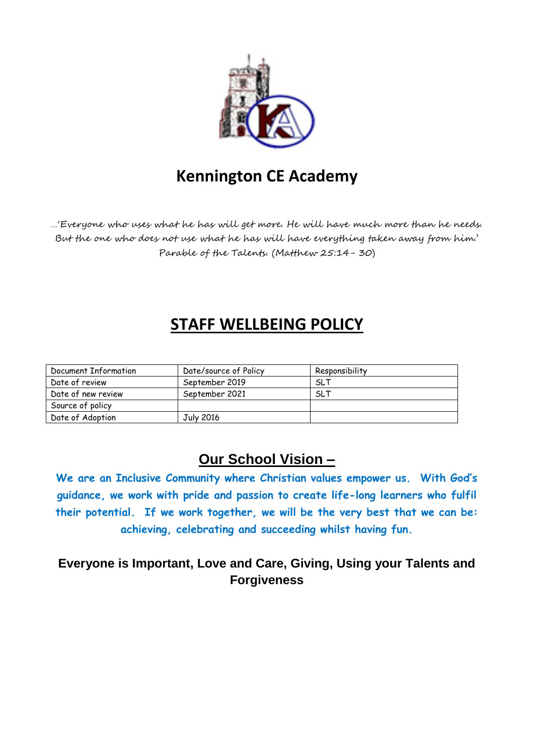

# **Kennington CE Academy**

…'Everyone who uses what he has will get more. He will have much more than he needs. But the one who does not use what he has will have everything taken away from him.' Parable of the Talents. (Matthew 25:14- 30)

# **STAFF WELLBEING POLICY**

| Document Information | Date/source of Policy | Responsibility |
|----------------------|-----------------------|----------------|
| Date of review       | September 2019        | <b>SLT</b>     |
| Date of new review   | September 2021        | <b>SLT</b>     |
| Source of policy     |                       |                |
| Date of Adoption     | July 2016             |                |

# **Our School Vision –**

**We are an Inclusive Community where Christian values empower us. With God's guidance, we work with pride and passion to create life-long learners who fulfil their potential. If we work together, we will be the very best that we can be: achieving, celebrating and succeeding whilst having fun.**

## **Everyone is Important, Love and Care, Giving, Using your Talents and Forgiveness**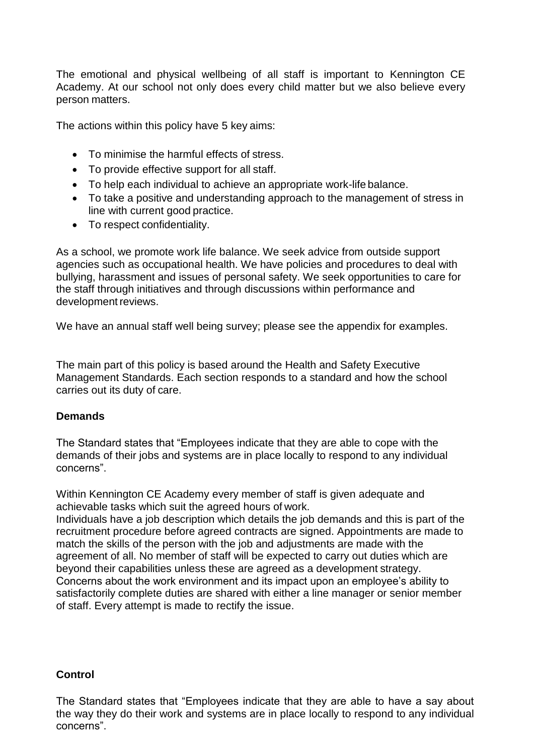The emotional and physical wellbeing of all staff is important to Kennington CE Academy. At our school not only does every child matter but we also believe every person matters.

The actions within this policy have 5 key aims:

- To minimise the harmful effects of stress.
- To provide effective support for all staff.
- To help each individual to achieve an appropriate work-life balance.
- To take a positive and understanding approach to the management of stress in line with current good practice.
- To respect confidentiality.

As a school, we promote work life balance. We seek advice from outside support agencies such as occupational health. We have policies and procedures to deal with bullying, harassment and issues of personal safety. We seek opportunities to care for the staff through initiatives and through discussions within performance and development reviews.

We have an annual staff well being survey; please see the appendix for examples.

The main part of this policy is based around the Health and Safety Executive Management Standards. Each section responds to a standard and how the school carries out its duty of care.

#### **Demands**

The Standard states that "Employees indicate that they are able to cope with the demands of their jobs and systems are in place locally to respond to any individual concerns".

Within Kennington CE Academy every member of staff is given adequate and achievable tasks which suit the agreed hours of work.

Individuals have a job description which details the job demands and this is part of the recruitment procedure before agreed contracts are signed. Appointments are made to match the skills of the person with the job and adjustments are made with the agreement of all. No member of staff will be expected to carry out duties which are beyond their capabilities unless these are agreed as a development strategy. Concerns about the work environment and its impact upon an employee's ability to satisfactorily complete duties are shared with either a line manager or senior member of staff. Every attempt is made to rectify the issue.

### **Control**

The Standard states that "Employees indicate that they are able to have a say about the way they do their work and systems are in place locally to respond to any individual concerns".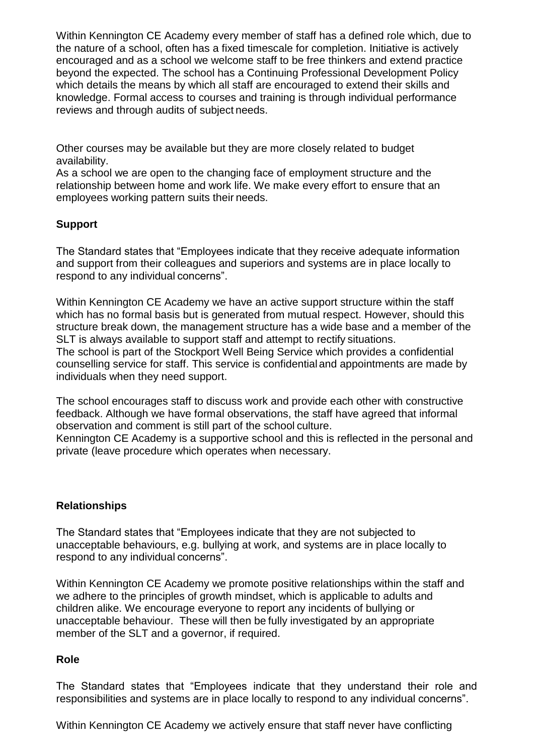Within Kennington CE Academy every member of staff has a defined role which, due to the nature of a school, often has a fixed timescale for completion. Initiative is actively encouraged and as a school we welcome staff to be free thinkers and extend practice beyond the expected. The school has a Continuing Professional Development Policy which details the means by which all staff are encouraged to extend their skills and knowledge. Formal access to courses and training is through individual performance reviews and through audits of subject needs.

Other courses may be available but they are more closely related to budget availability.

As a school we are open to the changing face of employment structure and the relationship between home and work life. We make every effort to ensure that an employees working pattern suits their needs.

## **Support**

The Standard states that "Employees indicate that they receive adequate information and support from their colleagues and superiors and systems are in place locally to respond to any individual concerns".

Within Kennington CE Academy we have an active support structure within the staff which has no formal basis but is generated from mutual respect. However, should this structure break down, the management structure has a wide base and a member of the SLT is always available to support staff and attempt to rectify situations. The school is part of the Stockport Well Being Service which provides a confidential counselling service for staff. This service is confidentialand appointments are made by individuals when they need support.

The school encourages staff to discuss work and provide each other with constructive feedback. Although we have formal observations, the staff have agreed that informal observation and comment is still part of the school culture.

Kennington CE Academy is a supportive school and this is reflected in the personal and private (leave procedure which operates when necessary.

## **Relationships**

The Standard states that "Employees indicate that they are not subjected to unacceptable behaviours, e.g. bullying at work, and systems are in place locally to respond to any individual concerns".

Within Kennington CE Academy we promote positive relationships within the staff and we adhere to the principles of growth mindset, which is applicable to adults and children alike. We encourage everyone to report any incidents of bullying or unacceptable behaviour. These will then be fully investigated by an appropriate member of the SLT and a governor, if required.

### **Role**

The Standard states that "Employees indicate that they understand their role and responsibilities and systems are in place locally to respond to any individual concerns".

Within Kennington CE Academy we actively ensure that staff never have conflicting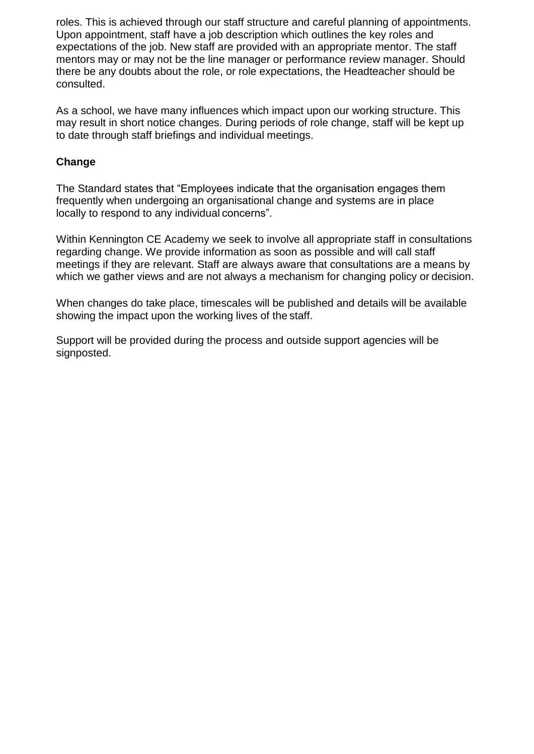roles. This is achieved through our staff structure and careful planning of appointments. Upon appointment, staff have a job description which outlines the key roles and expectations of the job. New staff are provided with an appropriate mentor. The staff mentors may or may not be the line manager or performance review manager. Should there be any doubts about the role, or role expectations, the Headteacher should be consulted.

As a school, we have many influences which impact upon our working structure. This may result in short notice changes. During periods of role change, staff will be kept up to date through staff briefings and individual meetings.

### **Change**

The Standard states that "Employees indicate that the organisation engages them frequently when undergoing an organisational change and systems are in place locally to respond to any individual concerns".

Within Kennington CE Academy we seek to involve all appropriate staff in consultations regarding change. We provide information as soon as possible and will call staff meetings if they are relevant. Staff are always aware that consultations are a means by which we gather views and are not always a mechanism for changing policy or decision.

When changes do take place, timescales will be published and details will be available showing the impact upon the working lives of the staff.

Support will be provided during the process and outside support agencies will be signposted.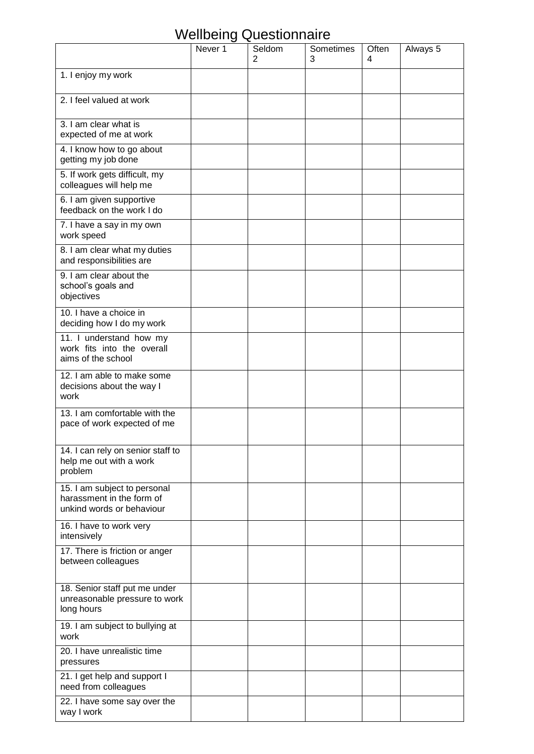# Wellbeing Questionnaire

|                                                                                        | Never <sub>1</sub> | Seldom<br>2 | Sometimes<br>3 | Often<br>4 | Always 5 |
|----------------------------------------------------------------------------------------|--------------------|-------------|----------------|------------|----------|
| 1. I enjoy my work                                                                     |                    |             |                |            |          |
| 2. I feel valued at work                                                               |                    |             |                |            |          |
| 3. I am clear what is<br>expected of me at work                                        |                    |             |                |            |          |
| 4. I know how to go about<br>getting my job done                                       |                    |             |                |            |          |
| 5. If work gets difficult, my<br>colleagues will help me                               |                    |             |                |            |          |
| 6. I am given supportive<br>feedback on the work I do                                  |                    |             |                |            |          |
| 7. I have a say in my own<br>work speed                                                |                    |             |                |            |          |
| 8. I am clear what my duties<br>and responsibilities are                               |                    |             |                |            |          |
| 9. I am clear about the<br>school's goals and<br>objectives                            |                    |             |                |            |          |
| 10. I have a choice in<br>deciding how I do my work                                    |                    |             |                |            |          |
| 11. I understand how my<br>work fits into the overall<br>aims of the school            |                    |             |                |            |          |
| 12. I am able to make some<br>decisions about the way I<br>work                        |                    |             |                |            |          |
| 13. I am comfortable with the<br>pace of work expected of me                           |                    |             |                |            |          |
| 14. I can rely on senior staff to<br>help me out with a work<br>problem                |                    |             |                |            |          |
| 15. I am subject to personal<br>harassment in the form of<br>unkind words or behaviour |                    |             |                |            |          |
| 16. I have to work very<br>intensively                                                 |                    |             |                |            |          |
| 17. There is friction or anger<br>between colleagues                                   |                    |             |                |            |          |
| 18. Senior staff put me under<br>unreasonable pressure to work<br>long hours           |                    |             |                |            |          |
| 19. I am subject to bullying at<br>work                                                |                    |             |                |            |          |
| 20. I have unrealistic time<br>pressures                                               |                    |             |                |            |          |
| 21. I get help and support I<br>need from colleagues                                   |                    |             |                |            |          |
| 22. I have some say over the<br>way I work                                             |                    |             |                |            |          |